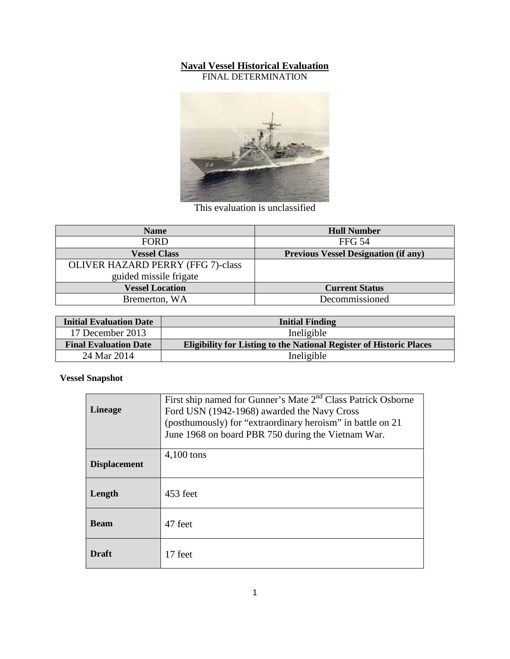## **Naval Vessel Historical Evaluation**

FINAL DETERMINATION



This evaluation is unclassified

| <b>Name</b>                              | <b>Hull Number</b>                          |
|------------------------------------------|---------------------------------------------|
| <b>FORD</b>                              | <b>FFG 54</b>                               |
| <b>Vessel Class</b>                      | <b>Previous Vessel Designation (if any)</b> |
| <b>OLIVER HAZARD PERRY (FFG 7)-class</b> |                                             |
| guided missile frigate                   |                                             |
| <b>Vessel Location</b>                   | <b>Current Status</b>                       |
| Bremerton, WA                            | Decommissioned                              |

| <b>Initial Evaluation Date</b> | <b>Initial Finding</b>                                                     |
|--------------------------------|----------------------------------------------------------------------------|
| 17 December 2013               | Ineligible                                                                 |
| <b>Final Evaluation Date</b>   | <b>Eligibility for Listing to the National Register of Historic Places</b> |
| 24 Mar 2014                    | Ineligible                                                                 |

**Vessel Snapshot**

| <b>Lineage</b>      | First ship named for Gunner's Mate 2 <sup>nd</sup> Class Patrick Osborne<br>Ford USN (1942-1968) awarded the Navy Cross<br>(posthumously) for "extraordinary heroism" in battle on 21<br>June 1968 on board PBR 750 during the Vietnam War. |  |
|---------------------|---------------------------------------------------------------------------------------------------------------------------------------------------------------------------------------------------------------------------------------------|--|
|                     | $4,100$ tons                                                                                                                                                                                                                                |  |
| <b>Displacement</b> |                                                                                                                                                                                                                                             |  |
| Length              | 453 feet                                                                                                                                                                                                                                    |  |
| <b>Beam</b>         | 47 feet                                                                                                                                                                                                                                     |  |
| Draft               | 17 feet                                                                                                                                                                                                                                     |  |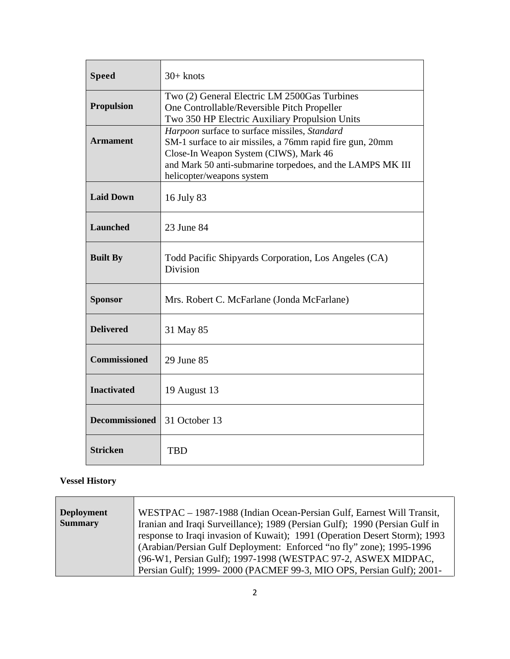| <b>Speed</b>          | $30+$ knots                                                                                                                                                                                                                                     |  |
|-----------------------|-------------------------------------------------------------------------------------------------------------------------------------------------------------------------------------------------------------------------------------------------|--|
| <b>Propulsion</b>     | Two (2) General Electric LM 2500Gas Turbines<br>One Controllable/Reversible Pitch Propeller<br>Two 350 HP Electric Auxiliary Propulsion Units                                                                                                   |  |
| <b>Armament</b>       | Harpoon surface to surface missiles, Standard<br>SM-1 surface to air missiles, a 76mm rapid fire gun, 20mm<br>Close-In Weapon System (CIWS), Mark 46<br>and Mark 50 anti-submarine torpedoes, and the LAMPS MK III<br>helicopter/weapons system |  |
| <b>Laid Down</b>      | 16 July 83                                                                                                                                                                                                                                      |  |
| <b>Launched</b>       | 23 June 84                                                                                                                                                                                                                                      |  |
| <b>Built By</b>       | Todd Pacific Shipyards Corporation, Los Angeles (CA)<br>Division                                                                                                                                                                                |  |
| <b>Sponsor</b>        | Mrs. Robert C. McFarlane (Jonda McFarlane)                                                                                                                                                                                                      |  |
| <b>Delivered</b>      | 31 May 85                                                                                                                                                                                                                                       |  |
| <b>Commissioned</b>   | 29 June 85                                                                                                                                                                                                                                      |  |
| <b>Inactivated</b>    | 19 August 13                                                                                                                                                                                                                                    |  |
| <b>Decommissioned</b> | 31 October 13                                                                                                                                                                                                                                   |  |
| <b>Stricken</b>       | <b>TBD</b>                                                                                                                                                                                                                                      |  |

## **Vessel History**

| <b>Deployment</b> | WESTPAC - 1987-1988 (Indian Ocean-Persian Gulf, Earnest Will Transit,       |  |
|-------------------|-----------------------------------------------------------------------------|--|
| <b>Summary</b>    | Iranian and Iraqi Surveillance); 1989 (Persian Gulf); 1990 (Persian Gulf in |  |
|                   | response to Iraqi invasion of Kuwait); 1991 (Operation Desert Storm); 1993  |  |
|                   | (Arabian/Persian Gulf Deployment: Enforced "no fly" zone); 1995-1996        |  |
|                   | (96-W1, Persian Gulf); 1997-1998 (WESTPAC 97-2, ASWEX MIDPAC,               |  |
|                   | Persian Gulf); 1999-2000 (PACMEF 99-3, MIO OPS, Persian Gulf); 2001-        |  |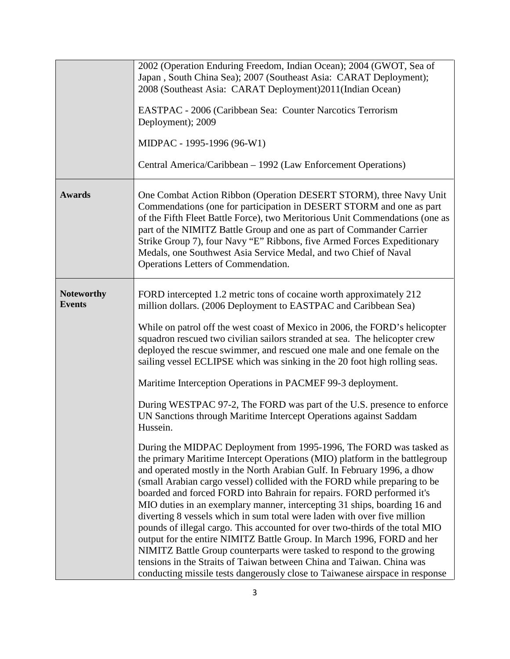|                                    | 2002 (Operation Enduring Freedom, Indian Ocean); 2004 (GWOT, Sea of<br>Japan, South China Sea); 2007 (Southeast Asia: CARAT Deployment);<br>2008 (Southeast Asia: CARAT Deployment)2011(Indian Ocean)<br>EASTPAC - 2006 (Caribbean Sea: Counter Narcotics Terrorism<br>Deployment); 2009<br>MIDPAC - 1995-1996 (96-W1)<br>Central America/Caribbean – 1992 (Law Enforcement Operations)                                                                                                                                                                                                                                                                                                                                                                                                                                                                                                                                                                                                                                                                                                                                                                                                                                                                                                                                                                                                                                                                                                                                                                                                                                             |
|------------------------------------|-------------------------------------------------------------------------------------------------------------------------------------------------------------------------------------------------------------------------------------------------------------------------------------------------------------------------------------------------------------------------------------------------------------------------------------------------------------------------------------------------------------------------------------------------------------------------------------------------------------------------------------------------------------------------------------------------------------------------------------------------------------------------------------------------------------------------------------------------------------------------------------------------------------------------------------------------------------------------------------------------------------------------------------------------------------------------------------------------------------------------------------------------------------------------------------------------------------------------------------------------------------------------------------------------------------------------------------------------------------------------------------------------------------------------------------------------------------------------------------------------------------------------------------------------------------------------------------------------------------------------------------|
| <b>Awards</b>                      | One Combat Action Ribbon (Operation DESERT STORM), three Navy Unit<br>Commendations (one for participation in DESERT STORM and one as part<br>of the Fifth Fleet Battle Force), two Meritorious Unit Commendations (one as<br>part of the NIMITZ Battle Group and one as part of Commander Carrier<br>Strike Group 7), four Navy "E" Ribbons, five Armed Forces Expeditionary<br>Medals, one Southwest Asia Service Medal, and two Chief of Naval<br>Operations Letters of Commendation.                                                                                                                                                                                                                                                                                                                                                                                                                                                                                                                                                                                                                                                                                                                                                                                                                                                                                                                                                                                                                                                                                                                                            |
| <b>Noteworthy</b><br><b>Events</b> | FORD intercepted 1.2 metric tons of cocaine worth approximately 212<br>million dollars. (2006 Deployment to EASTPAC and Caribbean Sea)<br>While on patrol off the west coast of Mexico in 2006, the FORD's helicopter<br>squadron rescued two civilian sailors stranded at sea. The helicopter crew<br>deployed the rescue swimmer, and rescued one male and one female on the<br>sailing vessel ECLIPSE which was sinking in the 20 foot high rolling seas.<br>Maritime Interception Operations in PACMEF 99-3 deployment.<br>During WESTPAC 97-2, The FORD was part of the U.S. presence to enforce<br>UN Sanctions through Maritime Intercept Operations against Saddam<br>Hussein.<br>During the MIDPAC Deployment from 1995-1996, The FORD was tasked as<br>the primary Maritime Intercept Operations (MIO) platform in the battlegroup<br>and operated mostly in the North Arabian Gulf. In February 1996, a dhow<br>(small Arabian cargo vessel) collided with the FORD while preparing to be<br>boarded and forced FORD into Bahrain for repairs. FORD performed it's<br>MIO duties in an exemplary manner, intercepting 31 ships, boarding 16 and<br>diverting 8 vessels which in sum total were laden with over five million<br>pounds of illegal cargo. This accounted for over two-thirds of the total MIO<br>output for the entire NIMITZ Battle Group. In March 1996, FORD and her<br>NIMITZ Battle Group counterparts were tasked to respond to the growing<br>tensions in the Straits of Taiwan between China and Taiwan. China was<br>conducting missile tests dangerously close to Taiwanese airspace in response |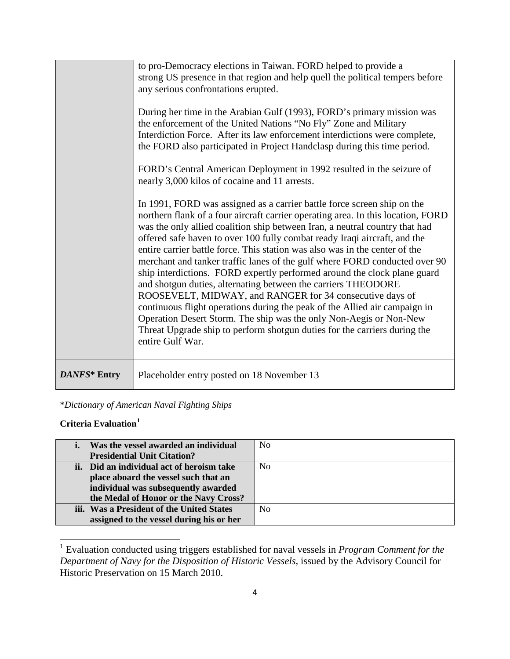|              | to pro-Democracy elections in Taiwan. FORD helped to provide a<br>strong US presence in that region and help quell the political tempers before<br>any serious confrontations erupted.<br>During her time in the Arabian Gulf (1993), FORD's primary mission was<br>the enforcement of the United Nations "No Fly" Zone and Military<br>Interdiction Force. After its law enforcement interdictions were complete,<br>the FORD also participated in Project Handclasp during this time period.<br>FORD's Central American Deployment in 1992 resulted in the seizure of<br>nearly 3,000 kilos of cocaine and 11 arrests.<br>In 1991, FORD was assigned as a carrier battle force screen ship on the<br>northern flank of a four aircraft carrier operating area. In this location, FORD<br>was the only allied coalition ship between Iran, a neutral country that had<br>offered safe haven to over 100 fully combat ready Iraqi aircraft, and the<br>entire carrier battle force. This station was also was in the center of the<br>merchant and tanker traffic lanes of the gulf where FORD conducted over 90<br>ship interdictions. FORD expertly performed around the clock plane guard<br>and shotgun duties, alternating between the carriers THEODORE<br>ROOSEVELT, MIDWAY, and RANGER for 34 consecutive days of<br>continuous flight operations during the peak of the Allied air campaign in<br>Operation Desert Storm. The ship was the only Non-Aegis or Non-New<br>Threat Upgrade ship to perform shotgun duties for the carriers during the |
|--------------|------------------------------------------------------------------------------------------------------------------------------------------------------------------------------------------------------------------------------------------------------------------------------------------------------------------------------------------------------------------------------------------------------------------------------------------------------------------------------------------------------------------------------------------------------------------------------------------------------------------------------------------------------------------------------------------------------------------------------------------------------------------------------------------------------------------------------------------------------------------------------------------------------------------------------------------------------------------------------------------------------------------------------------------------------------------------------------------------------------------------------------------------------------------------------------------------------------------------------------------------------------------------------------------------------------------------------------------------------------------------------------------------------------------------------------------------------------------------------------------------------------------------------------------------------------|
| DANFS* Entry | entire Gulf War.<br>Placeholder entry posted on 18 November 13                                                                                                                                                                                                                                                                                                                                                                                                                                                                                                                                                                                                                                                                                                                                                                                                                                                                                                                                                                                                                                                                                                                                                                                                                                                                                                                                                                                                                                                                                             |

\**Dictionary of American Naval Fighting Ships*

## **Criteria Evaluation[1](#page-3-0)**

| Was the vessel awarded an individual      | N <sub>0</sub> |
|-------------------------------------------|----------------|
| <b>Presidential Unit Citation?</b>        |                |
| ii. Did an individual act of heroism take | N <sub>0</sub> |
| place aboard the vessel such that an      |                |
| individual was subsequently awarded       |                |
| the Medal of Honor or the Navy Cross?     |                |
| iii. Was a President of the United States | N <sub>0</sub> |
| assigned to the vessel during his or her  |                |

<span id="page-3-0"></span><sup>1</sup> Evaluation conducted using triggers established for naval vessels in *Program Comment for the Department of Navy for the Disposition of Historic Vessels*, issued by the Advisory Council for Historic Preservation on 15 March 2010.